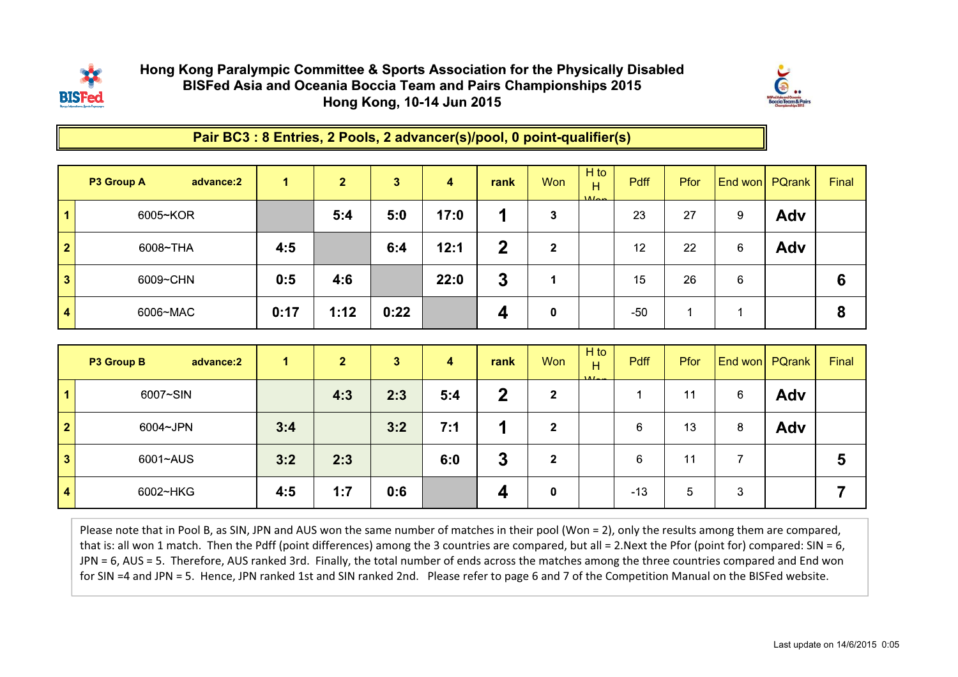

## Hong Kong Paralympic Committee & Sports Association for the Physically DisabledBISFed Asia and Oceania Boccia Team and Pairs Championships 2015Hong Kong, 10-14 Jun 2015



Pair BC3 : 8 Entries, 2 Pools, 2 advancer(s)/pool, 0 point-qualifier(s)

|              | P3 Group A<br>advance:2 | 1.   | $\mathbf{2}$ | $\mathbf{3}$ | 4    | rank | <b>Won</b> | $H$ to<br>H<br>$M_{\rm gas}$ | <b>Pdff</b> | Pfor |   | End won PQrank | Final |
|--------------|-------------------------|------|--------------|--------------|------|------|------------|------------------------------|-------------|------|---|----------------|-------|
|              | 6005~KOR                |      | 5:4          | 5:0          | 17:0 |      | 3          |                              | 23          | 27   | 9 | Adv            |       |
| $\mathbf{2}$ | 6008~THA                | 4:5  |              | 6:4          | 12:1 | 2    | 2          |                              | 12          | 22   | 6 | Adv            |       |
| 3            | 6009~CHN                | 0:5  | 4:6          |              | 22:0 | 3    |            |                              | 15          | 26   | 6 |                | 6     |
| 4            | 6006~MAC                | 0:17 | 1:12         | 0:22         |      | 4    | 0          |                              | $-50$       |      |   |                | 8     |

|                         | P3 Group B<br>advance:2 | 1.  | $\overline{2}$ | 3   | 4   | rank | <b>Won</b>   | $H$ to<br>н<br>AA | <b>Pdff</b> | <b>Pfor</b> |   | End won PQrank | Final |
|-------------------------|-------------------------|-----|----------------|-----|-----|------|--------------|-------------------|-------------|-------------|---|----------------|-------|
| $\vert$ 1               | 6007~SIN                |     | 4:3            | 2:3 | 5:4 | כי   | $\mathbf{2}$ |                   |             | 11          | 6 | Adv            |       |
| $\overline{\mathbf{2}}$ | 6004~JPN                | 3:4 |                | 3:2 | 7:1 |      | 2            |                   | 6           | 13          | 8 | Adv            |       |
| $\overline{\mathbf{3}}$ | 6001~AUS                | 3:2 | 2:3            |     | 6:0 | 3    | $\mathbf{2}$ |                   | 6           | 11          |   |                | 5     |
| $\overline{4}$          | 6002~HKG                | 4:5 | 1:7            | 0:6 |     |      | 0            |                   | $-13$       | 5           | 3 |                |       |

Please note that in Pool B, as SIN, JPN and AUS won the same number of matches in their pool (Won = 2), only the results among them are compared, that is: all won 1 match. Then the Pdff (point differences) among the 3 countries are compared, but all = 2.Next the Pfor (point for) compared: SIN = 6, JPN = 6, AUS = 5. Therefore, AUS ranked 3rd. Finally, the total number of ends across the matches among the three countries compared and End won for SIN =4 and JPN = 5. Hence, JPN ranked 1st and SIN ranked 2nd. Please refer to page 6 and 7 of the Competition Manual on the BISFed website.